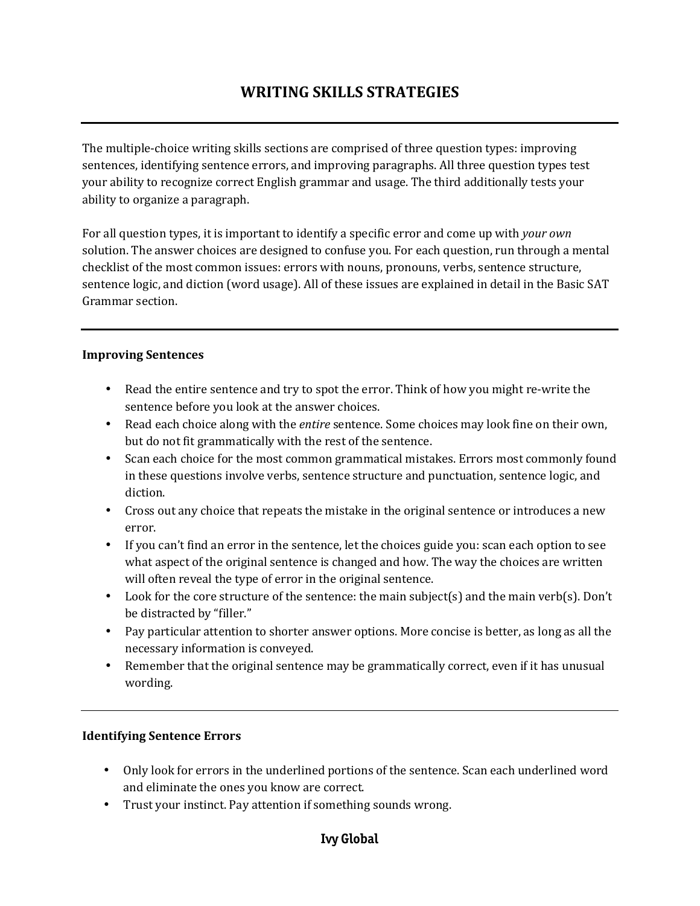# **WRITING SKILLS STRATEGIES**

The multiple-choice writing skills sections are comprised of three question types: improving sentences, identifying sentence errors, and improving paragraphs. All three question types test your ability to recognize correct English grammar and usage. The third additionally tests your ability to organize a paragraph.

For all question types, it is important to identify a specific error and come up with *your own* solution. The answer choices are designed to confuse you. For each question, run through a mental checklist of the most common issues: errors with nouns, pronouns, verbs, sentence structure, sentence logic, and diction (word usage). All of these issues are explained in detail in the Basic SAT Grammar section.

### **Improving Sentences**

- Read the entire sentence and try to spot the error. Think of how you might re-write the sentence before you look at the answer choices.
- Read each choice along with the *entire* sentence. Some choices may look fine on their own, but do not fit grammatically with the rest of the sentence.
- Scan each choice for the most common grammatical mistakes. Errors most commonly found in these questions involve verbs, sentence structure and punctuation, sentence logic, and diction.
- Cross out any choice that repeats the mistake in the original sentence or introduces a new error.
- If you can't find an error in the sentence, let the choices guide you: scan each option to see what aspect of the original sentence is changed and how. The way the choices are written will often reveal the type of error in the original sentence.
- Look for the core structure of the sentence: the main subject(s) and the main verb(s). Don't be distracted by "filler."
- Pay particular attention to shorter answer options. More concise is better, as long as all the necessary information is conveyed.
- Remember that the original sentence may be grammatically correct, even if it has unusual wording.

#### **Identifying Sentence Errors**

- Only look for errors in the underlined portions of the sentence. Scan each underlined word and eliminate the ones you know are correct.
- Trust your instinct. Pay attention if something sounds wrong.

# **Ivy Global**